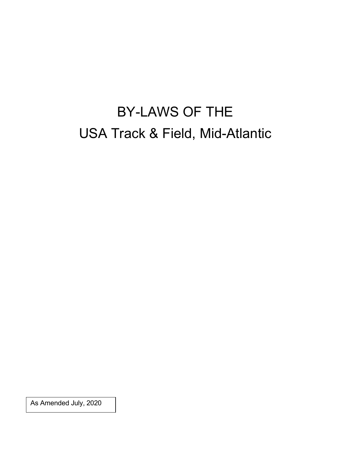# BY-LAWS OF THE USA Track & Field, Mid-Atlantic

As Amended July, 2020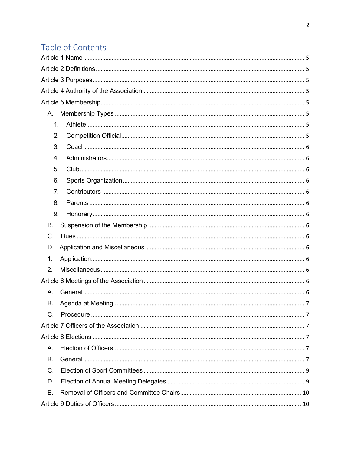## Table of Contents

| A.          |  |
|-------------|--|
| 1.          |  |
| 2.          |  |
| 3.          |  |
| 4.          |  |
| 5.          |  |
| 6.          |  |
| 7.          |  |
| 8.          |  |
| 9.          |  |
| В.          |  |
| C.          |  |
| D.          |  |
| 1.          |  |
| 2.          |  |
|             |  |
| Α.          |  |
| В.          |  |
| $C_{\cdot}$ |  |
|             |  |
|             |  |
| Α.          |  |
| В.          |  |
| C.          |  |
| D.          |  |
| Е.          |  |
|             |  |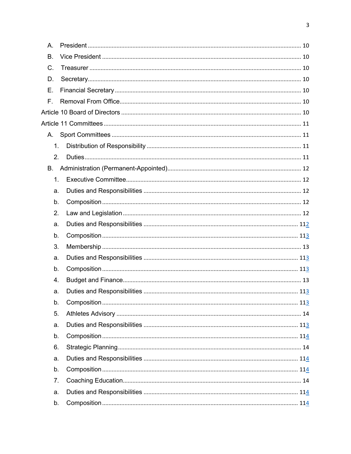| Α. |  |
|----|--|
| B. |  |
| C. |  |
| D. |  |
| Ε. |  |
| F. |  |
|    |  |
|    |  |
|    |  |
| 1. |  |
| 2. |  |
| В. |  |
| 1. |  |
| a. |  |
| b. |  |
| 2. |  |
| a. |  |
| b. |  |
| 3. |  |
| a. |  |
| b. |  |
| 4. |  |
| a. |  |
| b. |  |
| 5. |  |
| a. |  |
| b. |  |
| 6. |  |
| a. |  |
| b. |  |
| 7. |  |
| a. |  |
| b. |  |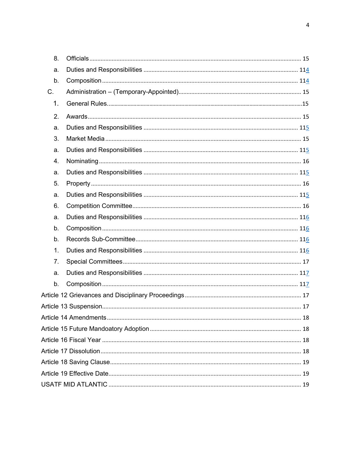| 8. |  |  |  |  |  |
|----|--|--|--|--|--|
| a. |  |  |  |  |  |
| b. |  |  |  |  |  |
| C. |  |  |  |  |  |
| 1. |  |  |  |  |  |
| 2. |  |  |  |  |  |
| a. |  |  |  |  |  |
| 3. |  |  |  |  |  |
| a. |  |  |  |  |  |
| 4. |  |  |  |  |  |
| a. |  |  |  |  |  |
| 5. |  |  |  |  |  |
| a. |  |  |  |  |  |
| 6. |  |  |  |  |  |
| a. |  |  |  |  |  |
| b. |  |  |  |  |  |
| b. |  |  |  |  |  |
| 1. |  |  |  |  |  |
| 7. |  |  |  |  |  |
| a. |  |  |  |  |  |
| b. |  |  |  |  |  |
|    |  |  |  |  |  |
|    |  |  |  |  |  |
|    |  |  |  |  |  |
|    |  |  |  |  |  |
|    |  |  |  |  |  |
|    |  |  |  |  |  |
|    |  |  |  |  |  |
|    |  |  |  |  |  |
|    |  |  |  |  |  |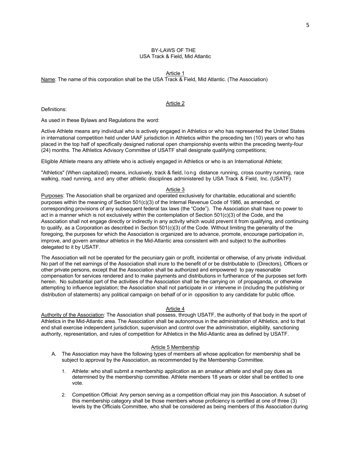## BY-LAWS OF THE USA Track & Field, Mid Atlantic

Article 1

Name: The name of this corporation shall be the USA Track & Field, Mid Atlantic. (The Association)

Definitions:

Article 2

As used in these Bylaws and Regulations the word:

Active Athlete means any individual who is actively engaged in Athletics or who has represented the United States in international competition held under IAAF jurisdiction in Athletics within the preceding ten (10) years or who has placed in the top half of specifically designed national open championship events within the preceding twenty-four (24) months. The Athletics Advisory Committee of USATF shall designate qualifying competitions;

Eligible Athlete means any athlete who is actively engaged in Athletics or who is an International Athlete;

"Athletics" (When capitalized) means, inclusively, track & field, long distance running, cross country running, race walking, road running, and any other athletic disciplines administered by USA Track & Field, Inc. (USATF)

## Article 3

Purposes: The Association shall be organized and operated exclusively for charitable, educational and scientific purposes within the meaning of Section 501(c)(3) of the Internal Revenue Code of 1986, as amended, or corresponding provisions of any subsequent federal tax laws (the "Code"). The Association shall have no power to act in a manner which is not exclusively within the contemplation of Section 501(c)(3) of the Code, and the Association shall not engage directly or indirectly in any activity which would prevent it from qualifying, and continuing to qualify, as a Corporation as described in Section 501(c)(3) of the Code. Without limiting the generality of the foregoing, the purposes for which the Association is organized are to advance, promote, encourage participation in, improve, and govern amateur athletics in the Mid-Atlantic area consistent with and subject to the authorities delegated to it by USATF.

The Association will not be operated for the pecuniary gain or profit, incidental or otherwise, of any private individual. No part of the net earnings of the Association shall inure to the benefit of or be distributable to (Directors), Officers or other private persons, except that the Association shall be authorized and empowered to pay reasonable compensation for services rendered and to make payments and distributions in furtherance of the purposes set forth herein. No substantial part of the activities of the Association shall be the carrying on of propaganda, or otherwise attempting to influence legislation; the Association shall not participate in or intervene in (including the publishing or distribution of statements) any political campaign on behalf of or in opposition to any candidate for public office.

## Article 4

Authority of the Association: The Association shall possess, through USATF, the authority of that body in the sport of Athletics in the Mid-Atlantic area. The Association shall be autonomous in the administration of Athletics, and to that end shall exercise independent jurisdiction, supervision and control over the administration, eligibility, sanctioning authority, representation, and rules of competition for Athletics in the Mid-Atlantic area as defined by USATF.

#### Article 5 Membership

- A. The Association may have the following types of members all whose application for membership shall be subject to approval by the Association, as recommended by the Membership Committee.
	- 1. Athlete: who shall submit a membership application as an amateur athlete and shall pay dues as determined by the membership committee. Athlete members 18 years or older shall be entitled to one vote.
	- 2. Competition Official: Any person serving as a competition official may join this Association. A subset of this membership category shall be those members whose proficiency is certified at one of three (3) levels by the Officials Committee, who shall be considered as being members of this Association during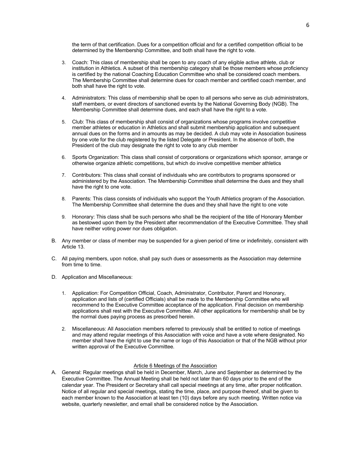the term of that certification. Dues for a competition official and for a certified competition official to be determined by the Membership Committee, and both shall have the right to vote.

- 3. Coach: This class of membership shall be open to any coach of any eligible active athlete, club or institution in Athletics. A subset of this membership category shall be those members whose proficiency is certified by the national Coaching Education Committee who shall be considered coach members. The Membership Committee shall determine dues for coach member and certified coach member, and both shall have the right to vote.
- 4. Administrators: This class of membership shall be open to all persons who serve as club administrators, staff members, or event directors of sanctioned events by the National Governing Body (NGB). The Membership Committee shall determine dues, and each shall have the right to a vote.
- 5. Club: This class of membership shall consist of organizations whose programs involve competitive member athletes or education in Athletics and shall submit membership application and subsequent annual dues on the forms and in amounts as may be decided. A club may vote in Association business by one vote for the club registered by the listed Delegate or President. In the absence of both, the President of the club may designate the right to vote to any club member
- 6. Sports Organization: This class shall consist of corporations or organizations which sponsor, arrange or otherwise organize athletic competitions, but which do involve competitive member athletics
- 7. Contributors: This class shall consist of individuals who are contributors to programs sponsored or administered by the Association. The Membership Committee shall determine the dues and they shall have the right to one vote.
- 8. Parents: This class consists of individuals who support the Youth Athletics program of the Association. The Membership Committee shall determine the dues and they shall have the right to one vote
- 9. Honorary: This class shall be such persons who shall be the recipient of the title of Honorary Member as bestowed upon them by the President after recommendation of the Executive Committee. They shall have neither voting power nor dues obligation.
- B. Any member or class of member may be suspended for a given period of time or indefinitely, consistent with Article 13.
- C. All paying members, upon notice, shall pay such dues or assessments as the Association may determine from time to time.
- D. Application and Miscellaneous:
	- 1. Application: For Competition Official, Coach, Administrator, Contributor, Parent and Honorary, application and lists of (certified Officials) shall be made to the Membership Committee who will recommend to the Executive Committee acceptance of the application. Final decision on membership applications shall rest with the Executive Committee. All other applications for membership shall be by the normal dues paying process as prescribed herein.
	- 2. Miscellaneous: All Association members referred to previously shall be entitled to notice of meetings and may attend regular meetings of this Association with voice and have a vote where designated. No member shall have the right to use the name or logo of this Association or that of the NGB without prior written approval of the Executive Committee.

## Article 6 Meetings of the Association

A. General: Regular meetings shall be held in December, March, June and September as determined by the Executive Committee. The Annual Meeting shall be held not later than 60 days prior to the end of the calendar year. The President or Secretary shall call special meetings at any time, after proper notification. Notice of all regular and special meetings, stating the time, place, and purpose thereof, shall be given to each member known to the Association at least ten (10) days before any such meeting. Written notice via website, quarterly newsletter, and email shall be considered notice by the Association.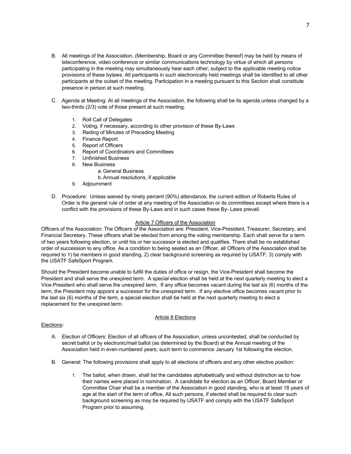- B. All meetings of the Association, (Membership, Board or any Committee thereof) may be held by means of teleconference, video conference or similar communications technology by virtue of which all persons participating in the meeting may simultaneously hear each other; subject to the applicable meeting notice provisions of these bylaws. All participants in such electronically held meetings shall be identified to all other participants at the outset of the meeting. Participation in a meeting pursuant to this Section shall constitute presence in person at such meeting.
- C. Agenda at Meeting: At all meetings of the Association, the following shall be its agenda unless changed by a two-thirds (2/3) vote of those present at such meeting:
	- 1. Roll Call of Delegates
	- 2. Voting, if necessary, according to other provision of these By-Laws
	- 3. Reding of Minutes of Preceding Meeting
	- 4. Finance Report
	- 5. Report of Officers
	- 6. Report of Coordinators and Committees
	- 7. Unfinished Business
	- 8. New Business
		- a. General Business
		- b.Annual resolutions, if applicable
	- 9. Adjournment
- D. Procedure: Unless waived by ninety percent (90%) attendance, the current edition of Roberts Rules of Order is the general rule of order at any meeting of the Association or its committees except where there is a conflict with the provisions of these By-Laws and in such cases these By- Laws prevail.

## Article 7 Officers of the Association

Officers of the Association: The Officers of the Association are: President, Vice-President, Treasurer, Secretary, and Financial Secretary. These officers shall be elected from among the voting membership. Each shall serve for a term of two years following election, or until his or her successor is elected and qualifies. There shall be no established order of succession to any office. As a condition to being seated as an Officer, all Officers of the Association shall be required to 1) be members in good standing, 2) clear background screening as required by USATF; 3) comply with the USATF SafeSport Program.

Should the President become unable to fulfill the duties of office or resign, the Vice-President shall become the President and shall serve the unexpired term. A special election shall be held at the next quarterly meeting to elect a Vice-President who shall serve the unexpired term. If any office becomes vacant during the last six (6) months of the term, the President may appoint a successor for the unexpired term. If any elective office becomes vacant prior to the last six (6) months of the term, a special election shall be held at the next quarterly meeting to elect a replacement for the unexpired term.

## Article 8 Elections

## Elections:

- A. Election of Officers: Election of all officers of the Association, unless uncontested, shall be conducted by secret ballot or by electronic/mail ballot (as determined by the Board) at the Annual meeting of the Association held in even-numbered years; such term to commence January 1st following the election.
- B. General: The following provisions shall apply to all elections of officers and any other elective position:
	- 1. The ballot, when drawn, shall list the candidates alphabetically and without distinction as to how their names were placed in nomination. A candidate for election as an Officer, Board Member or Committee Chair shall be a member of the Association in good standing, who is at least 18 years of age at the start of the term of office, All such persons, if elected shall be required to clear such background screening as may be required by USATF and comply with the USATF SafeSport Program prior to assuming.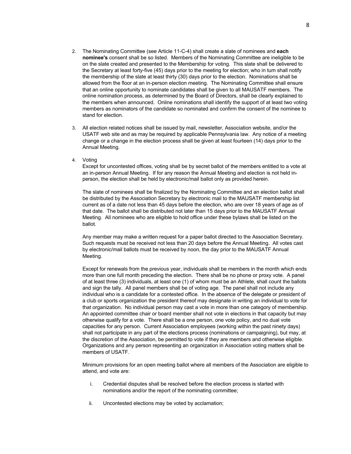- 2. The Nominating Committee (see Article 11-C-4) shall create a slate of nominees and **each nominee's** consent shall be so listed. Members of the Nominating Committee are ineligible to be on the slate created and presented to the Membership for voting. This slate shall be delivered to the Secretary at least forty-five (45) days prior to the meeting for election; who in tum shall notify the membership of the slate at least thirty (30) days prior to the election. Nominations shall be allowed from the floor at an in-person election meeting. The Nominating Committee shall ensure that an online opportunity to nominate candidates shall be given to all MAUSATF members. The online nomination process, as determined by the Board of Directors, shall be clearly explained to the members when announced. Online nominations shall identify the support of at least two voting members as nominators of the candidate so nominated and confirm the consent of the nominee to stand for election.
- 3. All election related notices shall be issued by mail, newsletter, Association website, and/or the USATF web site and as may be required by applicable Pennsylvania law. Any notice of a meeting change or a change in the election process shall be given at least fourteen (14) days prior to the Annual Meeting.
- 4. Voting

Except for uncontested offices, voting shall be by secret ballot of the members entitled to a vote at an in-person Annual Meeting. If for any reason the Annual Meeting and election is not held inperson, the election shall be held by electronic/mail ballot only as provided herein.

The slate of nominees shall be finalized by the Nominating Committee and an election ballot shall be distributed by the Association Secretary by electronic mail to the MAUSATF membership list current as of a date not less than 45 days before the election, who are over 18 years of age as of that date. The ballot shall be distributed not later than 15 days prior to the MAUSATF Annual Meeting. All nominees who are eligible to hold office under these bylaws shall be listed on the ballot.

Any member may make a written request for a paper ballot directed to the Association Secretary. Such requests must be received not less than 20 days before the Annual Meeting. All votes cast by electronic/mail ballots must be received by noon, the day prior to the MAUSATF Annual Meeting.

Except for renewals from the previous year, individuals shall be members in the month which ends more than one full month preceding the election. There shall be no phone or proxy vote. A panel of at least three (3) individuals, at least one (1) of whom must be an Athlete, shall count the ballots and sign the tally. All panel members shall be of voting age. The panel shall not include any individual who is a candidate for a contested office. In the absence of the delegate or president of a club or sports organization the president thereof may designate in writing an individual to vote for that organization. No individual person may cast a vote in more than one category of membership. An appointed committee chair or board member shall not vote in elections in that capacity but may otherwise qualify for a vote. There shall be a one person, one vote policy, and no dual vote capacities for any person. Current Association employees (working within the past ninety days) shall not participate in any part of the elections process (nominations or campaigning), but may, at the discretion of the Association, be permitted to vote if they are members and otherwise eligible. Organizations and any person representing an organization in Association voting matters shall be members of USATF.

Minimum provisions for an open meeting ballot where all members of the Association are eligible to attend, and vote are:

- i. Credential disputes shall be resolved before the election process is started with nominations and/or the report of the nominating committee;
- ii. Uncontested elections may be voted by acclamation;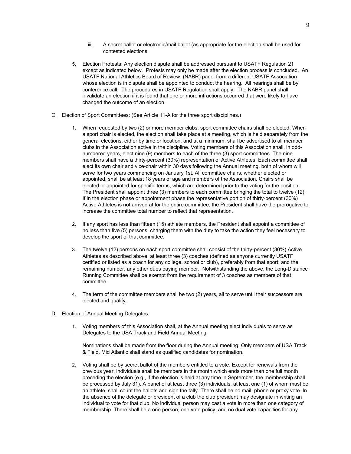- iii. A secret ballot or electronic/mail ballot (as appropriate for the election shall be used for contested elections.
- 5. Election Protests: Any election dispute shall be addressed pursuant to USATF Regulation 21 except as indicated below. Protests may only be made after the election process is concluded. An USATF National Athletics Board of Review, (NABR) panel from a different USATF Association whose election is in dispute shall be appointed to conduct the hearing. All hearings shall be by conference call. The procedures in USATF Regulation shall apply. The NABR panel shall invalidate an election if it is found that one or more infractions occurred that were likely to have changed the outcome of an election.
- C. Election of Sport Committees: (See Article 11-A for the three sport disciplines.)
	- 1. When requested by two (2) or more member clubs, sport committee chairs shall be elected. When a sport chair is elected, the election shall take place at a meeting, which is held separately from the general elections, either by time or location, and at a minimum, shall be advertised to all member clubs in the Association active in the discipline. Voting members of this Association shall, in oddnumbered years, elect nine (9) members to each of the three (3) sport committees. The nine members shall have a thirty-percent (30%) representation of Active Athletes. Each committee shall elect its own chair and vice-chair within 30 days following the Annual meeting, both of whom will serve for two years commencing on January 1st. All committee chairs, whether elected or appointed, shall be at least 18 years of age and members of the Association. Chairs shall be elected or appointed for specific terms, which are determined prior to the voting for the position. The President shall appoint three (3) members to each committee bringing the total to twelve (12). If in the election phase or appointment phase the representative portion of thirty-percent (30%) Active Athletes is not arrived at for the entire committee, the President shall have the prerogative to increase the committee total number to reflect that representation.
	- 2. If any sport has less than fifteen (15) athlete members, the President shall appoint a committee of no less than five (5) persons, charging them with the duty to take the action they feel necessary to develop the sport of that committee.
	- 3. The twelve (12) persons on each sport committee shall consist of the thirty-percent (30%) Active Athletes as described above; at least three (3) coaches (defined as anyone currently USATF certified or listed as a coach for any college, school or club), preferably from that sport; and the remaining number, any other dues paying member. Notwithstanding the above, the Long-Distance Running Committee shall be exempt from the requirement of 3 coaches as members of that committee.
	- 4. The term of the committee members shall be two (2) years, all to serve until their successors are elected and qualify.
- D. Election of Annual Meeting Delegates:
	- 1. Voting members of this Association shall, at the Annual meeting elect individuals to serve as Delegates to the USA Track and Field Annual Meeting.

Nominations shall be made from the floor during the Annual meeting. Only members of USA Track & Field, Mid Atlantic shall stand as qualified candidates for nomination.

2. Voting shall be by secret ballot of the members entitled to a vote. Except for renewals from the previous year, individuals shall be members in the month which ends more than one full month preceding the election (e.g., if the election is held at any time in September, the membership shall be processed by July 31). A panel of at least three (3) individuals, at least one (1) of whom must be an athlete, shall count the ballots and sign the tally. There shall be no mail, phone or proxy vote. In the absence of the delegate or president of a club the club president may designate in writing an individual to vote for that club. No individual person may cast a vote in more than one category of membership. There shall be a one person, one vote policy, and no dual vote capacities for any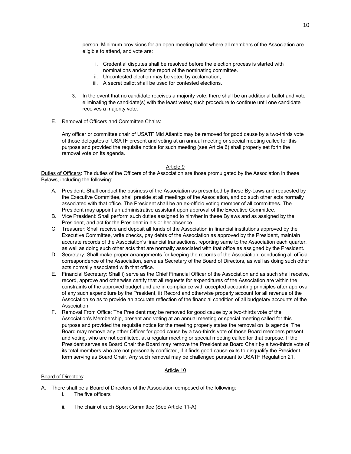person. Minimum provisions for an open meeting ballot where all members of the Association are eligible to attend, and vote are:

- i. Credential disputes shall be resolved before the election process is started with nominations and/or the report of the nominating committee.
- ii. Uncontested election may be voted by acclamation;
- iii. A secret ballot shall be used for contested elections.
- 3. In the event that no candidate receives a majority vote, there shall be an additional ballot and vote eliminating the candidate(s) with the least votes; such procedure to continue until one candidate receives a majority vote.
- E. Removal of Officers and Committee Chairs:

Any officer or committee chair of USATF Mid Atlantic may be removed for good cause by a two-thirds vote of those delegates of USATF present and voting at an annual meeting or special meeting called for this purpose and provided the requisite notice for such meeting (see Article 6) shall properly set forth the removal vote on its agenda.

## Article 9

Duties of Officers: The duties of the Officers of the Association are those promulgated by the Association in these Bylaws, including the following:

- A. President: Shall conduct the business of the Association as prescribed by these By-Laws and requested by the Executive Committee, shall preside at all meetings of the Association, and do such other acts normally associated with that office. The President shall be an ex-officio voting member of all committees. The President may appoint an administrative assistant upon approval of the Executive Committee.
- B. Vice President: Shall perform such duties assigned to him/her in these Bylaws and as assigned by the President, and act for the President in his or her absence.
- C. Treasurer: Shall receive and deposit all funds of the Association in financial institutions approved by the Executive Committee, write checks, pay debts of the Association as approved by the President, maintain accurate records of the Association's financial transactions, reporting same to the Association each quarter, as well as doing such other acts that are normally associated with that office as assigned by the President.
- D. Secretary: Shall make proper arrangements for keeping the records of the Association, conducting all official correspondence of the Association, serve as Secretary of the Board of Directors, as well as doing such other acts normally associated with that office.
- E. Financial Secretary: Shall i) serve as the Chief Financial Officer of the Association and as such shall receive, record, approve and otherwise certify that all requests for expenditures of the Association are within the constraints of the approved budget and are in compliance with accepted accounting principles after approval of any such expenditure by the President, ii) Record and otherwise properly account for all revenue of the Association so as to provide an accurate reflection of the financial condition of all budgetary accounts of the Association.
- F. Removal From Office: The President may be removed for good cause by a two-thirds vote of the Association's Membership, present and voting at an annual meeting or special meeting called for this purpose and provided the requisite notice for the meeting properly states the removal on its agenda. The Board may remove any other Officer for good cause by a two-thirds vote of those Board members present and voting, who are not conflicted, at a regular meeting or special meeting called for that purpose. If the President serves as Board Chair the Board may remove the President as Board Chair by a two-thirds vote of its total members who are not personally conflicted, if it finds good cause exits to disqualify the President form serving as Board Chair. Any such removal may be challenged pursuant to USATF Regulation 21.

## Article 10

## Board of Directors:

- A. There shall be a Board of Directors of the Association composed of the following:
	- i. The five officers
	- ii. The chair of each Sport Committee (See Article 11-A)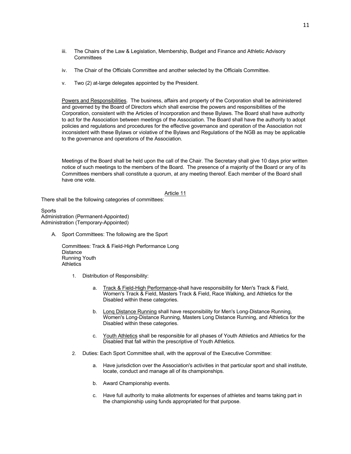- iii. The Chairs of the Law & Legislation, Membership, Budget and Finance and Athletic Advisory **Committees**
- iv. The Chair of the Officials Committee and another selected by the Officials Committee.
- v. Two (2) at-large delegates appointed by the President.

Powers and Responsibilities. The business, affairs and property of the Corporation shall be administered and governed by the Board of Directors which shall exercise the powers and responsibilities of the Corporation, consistent with the Articles of Incorporation and these Bylaws. The Board shall have authority to act for the Association between meetings of the Association. The Board shall have the authority to adopt policies and regulations and procedures for the effective governance and operation of the Association not inconsistent with these Bylaws or violative of the Bylaws and Regulations of the NGB as may be applicable to the governance and operations of the Association.

Meetings of the Board shall be held upon the call of the Chair. The Secretary shall give 10 days prior written notice of such meetings to the members of the Board. The presence of a majority of the Board or any of its Committees members shall constitute a quorum, at any meeting thereof. Each member of the Board shall have one vote.

## Article 11

There shall be the following categories of committees:

**Sports** Administration (Permanent-Appointed) Administration (Temporary-Appointed)

A. Sport Committees: The following are the Sport

Committees: Track & Field-High Performance Long **Distance** Running Youth **Athletics** 

- 1. Distribution of Responsibility:
	- a. Track & Field-High Performance-shall have responsibility for Men's Track & Field, Women's Track & Field, Masters Track & Field, Race Walking, and Athletics for the Disabled within these categories.
	- b. Lonq Distance Running shall have responsibility for Men's Long-Distance Running, Women's Long-Distance Running, Masters Long Distance Running, and Athletics for the Disabled within these categories.
	- c. Youth Athletics shall be responsible for all phases of Youth Athletics and Athletics for the Disabled that fall within the prescriptive of Youth Athletics.
- 2. Duties: Each Sport Committee shall, with the approval of the Executive Committee:
	- a. Have jurisdiction over the Association's activities in that particular sport and shall institute, locate, conduct and manage all of its championships.
	- b. Award Championship events.
	- c. Have full authority to make allotments for expenses of athletes and teams taking part in the championship using funds appropriated for that purpose.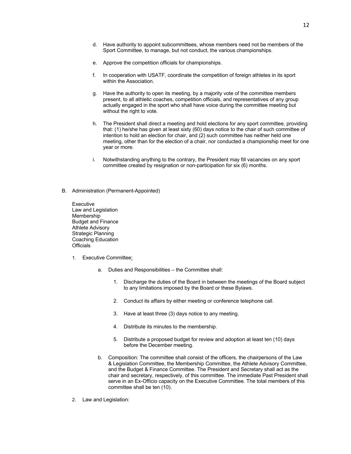- d. Have authority to appoint subcommittees, whose members need not be members of the Sport Committee, to manage, but not conduct, the various championships.
- e. Approve the competition officials for championships.
- f. In cooperation with USATF, coordinate the competition of foreign athletes in its sport within the Association.
- g. Have the authority to open its meeting, by a majority vote of the committee members present, to all athletic coaches, competition officials, and representatives of any group actually engaged in the sport who shall have voice during the committee meeting but without the right to vote.
- h. The President shall direct a meeting and hold elections for any sport committee, providing that: (1) he/she has given at least sixty (60) days notice to the chair of such committee of intention to hold an election for chair, and (2) such committee has neither held one meeting, other than for the election of a chair, nor conducted a championship meet for one year or more.
- i. Notwithstanding anything to the contrary, the President may fill vacancies on any sport committee created by resignation or non-participation for six (6) months.
- B. Administration (Permanent-Appointed)

Executive Law and Legislation Membership Budget and Finance Athlete Advisory Strategic Planning Coaching Education **Officials** 

- 1. Executive Committee:
	- a. Duties and Responsibilities the Committee shall:
		- 1. Discharge the duties of the Board in between the meetings of the Board subject to any limitations imposed by the Board or these Bylaws.
		- 2. Conduct its affairs by either meeting or conference telephone call.
		- 3. Have at least three (3) days notice to any meeting.
		- 4. Distribute its minutes to the membership.
		- 5. Distribute a proposed budget for review and adoption at least ten (10) days before the December meeting.
	- b. Composition: The committee shall consist of the officers, the chairpersons of the Law & Legislation Committee, the Membership Committee, the Athlete Advisory Committee, and the Budget & Finance Committee. The President and Secretary shall act as the chair and secretary, respectively, of this committee. The immediate Past President shall serve in an Ex-Officio capacity on the Executive Committee. The total members of this committee shall be ten (10).
- 2. Law and Legislation: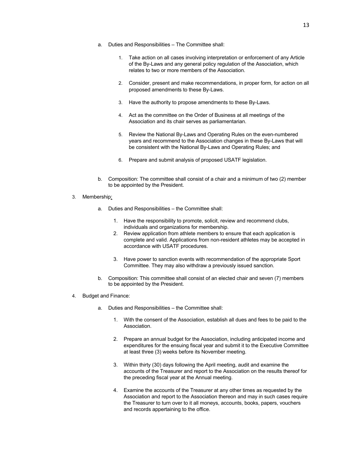13

- a. Duties and Responsibilities The Committee shall:
	- 1. Take action on all cases involving interpretation or enforcement of any Article of the By-Laws and any general policy regulation of the Association, which relates to two or more members of the Association.
	- 2. Consider, present and make recommendations, in proper form, for action on all proposed amendments to these By-Laws.
	- 3. Have the authority to propose amendments to these By-Laws.
	- 4. Act as the committee on the Order of Business at all meetings of the Association and its chair serves as parliamentarian.
	- 5. Review the National By-Laws and Operating Rules on the even-numbered years and recommend to the Association changes in these By-Laws that will be consistent with the National By-Laws and Operating Rules; and
	- 6. Prepare and submit analysis of proposed USATF legislation.
- b. Composition: The committee shall consist of a chair and a minimum of two (2) member to be appointed by the President.
- 3. Membership:
	- a. Duties and Responsibilities the Committee shall:
		- 1. Have the responsibility to promote, solicit, review and recommend clubs, individuals and organizations for membership.
		- 2. Review application from athlete members to ensure that each application is complete and valid. Applications from non-resident athletes may be accepted in accordance with USATF procedures.
		- 3. Have power to sanction events with recommendation of the appropriate Sport Committee. They may also withdraw a previously issued sanction.
	- b. Composition: This committee shall consist of an elected chair and seven (7) members to be appointed by the President.
- 4. Budget and Finance:
	- a. Duties and Responsibilities the Committee shall:
		- 1. With the consent of the Association, establish all dues and fees to be paid to the Association.
		- 2. Prepare an annual budget for the Association, including anticipated income and expenditures for the ensuing fiscal year and submit it to the Executive Committee at least three (3) weeks before its November meeting.
		- 3. Within thirty (30) days following the April meeting, audit and examine the accounts of the Treasurer and report to the Association on the results thereof for the preceding fiscal year at the Annual meeting.
		- 4. Examine the accounts of the Treasurer at any other times as requested by the Association and report to the Association thereon and may in such cases require the Treasurer to turn over to it all moneys, accounts, books, papers, vouchers and records appertaining to the office.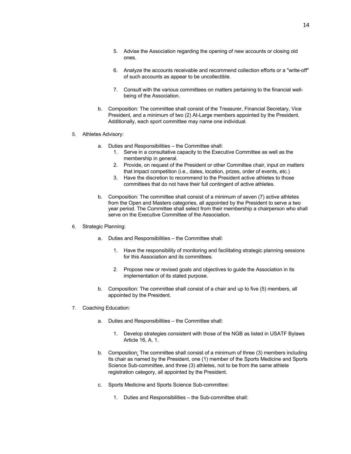- 5. Advise the Association regarding the opening of new accounts or closing old ones.
- 6. Analyze the accounts receivable and recommend collection efforts or a "write-off" of such accounts as appear to be uncollectible.
- 7. Consult with the various committees on matters pertaining to the financial wellbeing of the Association.
- b. Composition: The committee shall consist of the Treasurer, Financial Secretary, Vice President, and a minimum of two (2) At-Large members appointed by the President. Additionally, each sport committee may name one individual.
- 5. Athletes Advisory:
	- a. Duties and Responsibilities the Committee shall:
		- 1. Serve in a consultative capacity to the Executive Committee as well as the membership in general.
		- 2. Provide, on request of the President or other Committee chair, input on matters that impact competition (i.e., dates, location, prizes, order of events, etc.)
		- 3. Have the discretion to recommend to the President active athletes to those committees that do not have their full contingent of active athletes.
	- b. Composition: The committee shall consist of a minimum of seven (7) active athletes from the Open and Masters categories, all appointed by the President to serve a two year period. The Committee shall select from their membership a chairperson who shall serve on the Executive Committee of the Association.
- 6. Strategic Planning:
	- a. Duties and Responsibilities the Committee shall:
		- 1. Have the responsibility of monitoring and facilitating strategic planning sessions for this Association and its committees.
		- 2. Propose new or revised goals and objectives to guide the Association in its implementation of its stated purpose.
	- b. Composition: The committee shall consist of a chair and up to five (5) members, all appointed by the President.
- 7. Coaching Education:
	- a. Duties and Responsibilities the Committee shall:
		- 1. Develop strategies consistent with those of the NGB as listed in USATF Bylaws Article 16, A, 1.
	- b. Composition: The committee shall consist of a minimum of three (3) members including its chair as named by the President, one (1) member of the Sports Medicine and Sports Science Sub-committee, and three (3) athletes, not to be from the same athlete registration category, all appointed by the President.
	- c. Sports Medicine and Sports Science Sub-committee:
		- 1. Duties and Responsibilities the Sub-committee shall: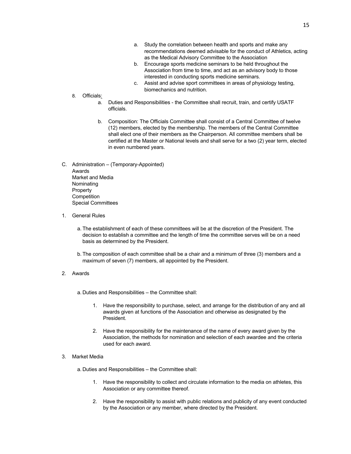- a. Study the correlation between health and sports and make any recommendations deemed advisable for the conduct of Athletics, acting as the Medical Advisory Committee to the Association
- b. Encourage sports medicine seminars to be held throughout the Association from time to time, and act as an advisory body to those interested in conducting sports medicine seminars.
- c. Assist and advise sport committees in areas of physiology testing, biomechanics and nutrition.
- 8. Officials:
	- a. Duties and Responsibilities the Committee shall recruit, train, and certify USATF officials.
	- b. Composition: The Officials Committee shall consist of a Central Committee of twelve (12) members, elected by the membership. The members of the Central Committee shall elect one of their members as the Chairperson. All committee members shall be certified at the Master or National levels and shall serve for a two (2) year term, elected in even numbered years.
- C. Administration (Temporary-Appointed) Awards Market and Media Nominating Property **Competition** Special Committees
- 1. General Rules
	- a. The establishment of each of these committees will be at the discretion of the President. The decision to establish a committee and the length of time the committee serves will be on a need basis as determined by the President.
	- b. The composition of each committee shall be a chair and a minimum of three (3) members and a maximum of seven (7) members, all appointed by the President.
- 2. Awards

a. Duties and Responsibilities – the Committee shall:

- 1. Have the responsibility to purchase, select, and arrange for the distribution of any and all awards given at functions of the Association and otherwise as designated by the President.
- 2. Have the responsibility for the maintenance of the name of every award given by the Association, the methods for nomination and selection of each awardee and the criteria used for each award.

## 3. Market Media

a. Duties and Responsibilities – the Committee shall:

- 1. Have the responsibility to collect and circulate information to the media on athletes, this Association or any committee thereof.
- 2. Have the responsibility to assist with public relations and publicity of any event conducted by the Association or any member, where directed by the President.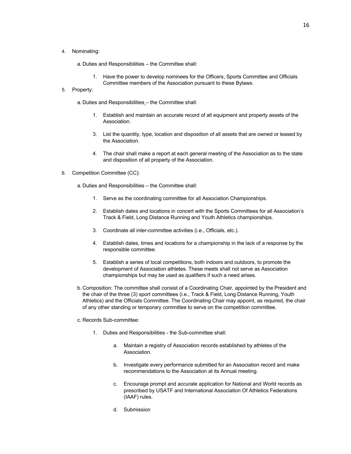4. Nominating:

a. Duties and Responsibilities – the Committee shall:

1. Have the power to develop nominees for the Officers, Sports Committee and Officials Committee members of the Association pursuant to these Bylaws.

## 5. Property:

a. Duties and Responsibilities – the Committee shall:

- 1. Establish and maintain an accurate record of all equipment and property assets of the Association.
- 3. List the quantity, type, location and disposition of all assets that are owned or leased by the Association.
- 4. The chair shall make a report at each general meeting of the Association as to the state and disposition of all property of the Association.
- 6. Competition Committee (CC):

a. Duties and Responsibilities – the Committee shall:

- 1. Serve as the coordinating committee for all Association Championships.
- 2. Establish dates and locations in concert with the Sports Committees for all Association's Track & Field, Long Distance Running and Youth Athletics championships.
- 3. Coordinate all inter-committee activities (i.e., Officials, etc.).
- 4. Establish dates, times and locations for a championship in the lack of a response by the responsible committee.
- 5. Establish a series of local competitions, both indoors and outdoors, to promote the development of Association athletes. These meets shall not serve as Association championships but may be used as qualifiers if such a need arises.
- b. Composition: The committee shall consist of a Coordinating Chair, appointed by the President and the chair of the three (3) sport committees (i.e., Track & Field, Long Distance Running, Youth Athletics) and the Officials Committee. The Coordinating Chair may appoint, as required, the chair of any other standing or temporary committee to serve on the competition committee.
- c. Records Sub-committee:
	- 1. Duties and Responsibilities the Sub-committee shall:
		- a. Maintain a registry of Association records established by athletes of the Association.
		- b. Investigate every performance submitted for an Association record and make recommendations to the Association at its Annual meeting.
		- c. Encourage prompt and accurate application for National and World records as prescribed by USATF and International Association Of Athletics Federations (IAAF) rules.
		- d. Submission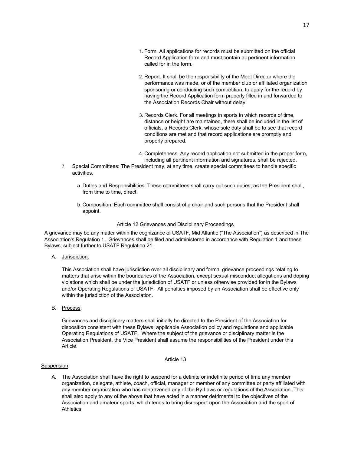- 1. Form. All applications for records must be submitted on the official Record Application form and must contain all pertinent information called for in the form.
- 2. Report. It shall be the responsibility of the Meet Director where the performance was made, or of the member club or affiliated organization sponsoring or conducting such competition, to apply for the record by having the Record Application form properly filled in and forwarded to the Association Records Chair without delay.
- 3. Records Clerk. For all meetings in sports in which records of time, distance or height are maintained, there shall be included in the list of officials, a Records Clerk, whose sole duty shall be to see that record conditions are met and that record applications are promptly and properly prepared.
- 4. Completeness. Any record application not submitted in the proper form, including all pertinent information and signatures, shall be rejected.
- 7. Special Committees: The President may, at any time, create special committees to handle specific activities.
	- a. Duties and Responsibilities: These committees shall carry out such duties, as the President shall, from time to time, direct.
	- b. Composition: Each committee shall consist of a chair and such persons that the President shall appoint.

## Article 12 Grievances and Disciplinary Proceedings

A grievance may be any matter within the cognizance of USATF, Mid Atlantic ("The Association") as described in The Association's Regulation 1. Grievances shall be filed and administered in accordance with Regulation 1 and these Bylaws; subject further to USATF Regulation 21.

A. Jurisdiction:

This Association shall have jurisdiction over all disciplinary and formal grievance proceedings relating to matters that arise within the boundaries of the Association, except sexual misconduct allegations and doping violations which shall be under the jurisdiction of USATF or unless otherwise provided for in the Bylaws and/or Operating Regulations of USATF. All penalties imposed by an Association shall be effective only within the jurisdiction of the Association.

B. Process:

Grievances and disciplinary matters shall initially be directed to the President of the Association for disposition consistent with these Bylaws, applicable Association policy and regulations and applicable Operating Regulations of USATF. Where the subject of the grievance or disciplinary matter is the Association President, the Vice President shall assume the responsibilities of the President under this Article.

## Article 13

## Suspension:

A. The Association shall have the right to suspend for a definite or indefinite period of time any member organization, delegate, athlete, coach, official, manager or member of any committee or party affiliated with any member organization who has contravened any of the By-Laws or regulations of the Association. This shall also apply to any of the above that have acted in a manner detrimental to the objectives of the Association and amateur sports, which tends to bring disrespect upon the Association and the sport of Athletics.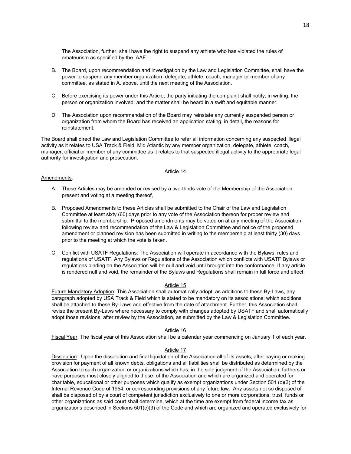The Association, further, shall have the right to suspend any athlete who has violated the rules of amateurism as specified by the IAAF.

- B. The Board, upon recommendation and investigation by the Law and Legislation Committee, shall have the power to suspend any member organization, delegate, athlete, coach, manager or member of any committee, as stated in A. above, until the next meeting of the Association.
- C. Before exercising its power under this Article, the party initiating the complaint shall notify, in writing, the person or organization involved; and the matter shall be heard in a swift and equitable manner.
- D. The Association upon recommendation of the Board may reinstate any currently suspended person or organization from whom the Board has received an application stating, in detail, the reasons for reinstatement.

The Board shall direct the Law and Legislation Committee to refer all information concerning any suspected illegal activity as it relates to USA Track & Field, Mid Atlantic by any member organization, delegate, athlete, coach, manager, official or member of any committee as it relates to that suspected illegal activity to the appropriate legal authority for investigation and prosecution.

## Article 14

## Amendments:

- A. These Articles may be amended or revised by a two-thirds vote of the Membership of the Association present and voting at a meeting thereof,
- B. Proposed Amendments to these Articles shall be submitted to the Chair of the Law and Legislation Committee at least sixty (60) days prior to any vote of the Association thereon for proper review and submittal to the membership. Proposed amendments may be voted on at any meeting of the Association following review and recommendation of the Law & Legislation Committee and notice of the proposed amendment or planned revision has been submitted in writing to the membership at least thirty (30) days prior to the meeting at which the vote is taken.
- C. Conflict with USATF Regulations: The Association will operate in accordance with the Bylaws, rules and regulations of USATF. Any Bylaws or Regulations of the Association which conflicts with USATF Bylaws or regulations binding on the Association will be null and void until brought into the conformance. If any article is rendered null and void, the remainder of the Bylaws and Regulations shall remain in full force and effect.

## Article 15

Future Mandatory Adoption: This Association shall automatically adopt, as additions to these By-Laws, any paragraph adopted by USA Track & Field which is stated to be mandatory on its associations; which additions shall be attached to these By-Laws and effective from the date of attachment. Further, this Association shall revise the present By-Laws where necessary to comply with changes adopted by USATF and shall automatically adopt those revisions, after review by the Association, as submitted by the Law & Legislation Committee.

## Article 16

Fiscal Year: The fiscal year of this Association shall be a calendar year commencing on January 1 of each year.

## Article 17

Dissolution: Upon the dissolution and final liquidation of the Association all of its assets, after paying or making provision for payment of all known debts, obligations and all liabilities shall be distributed as determined by the Association to such organization or organizations which has, in the sole judgment of the Association, furthers or have purposes most closely aligned to those of the Association and which are organized and operated for charitable, educational or other purposes which qualify as exempt organizations under Section 501 (c)(3) of the Internal Revenue Code of 1954, or corresponding provisions of any future law. Any assets not so disposed of shall be disposed of by a court of competent jurisdiction exclusively to one or more corporations, trust, funds or other organizations as said court shall determine, which at the time are exempt from federal income tax as organizations described in Sections 501(c)(3) of the Code and which are organized and operated exclusively for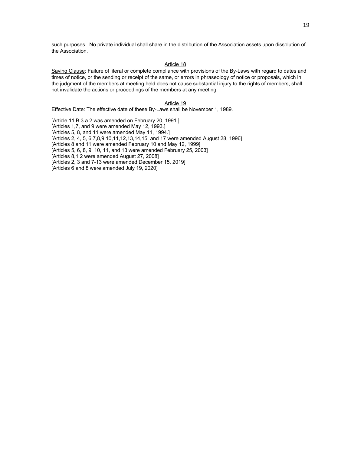such purposes. No private individual shall share in the distribution of the Association assets upon dissolution of the Association.

## Article 18

Saving Clause: Failure of literal or complete compliance with provisions of the By-Laws with regard to dates and times of notice, or the sending or receipt of the same, or errors in phraseology of notice or proposals, which in the judgment of the members at meeting held does not cause substantial injury to the rights of members, shall not invalidate the actions or proceedings of the members at any meeting.

## Article 19

Effective Date: The effective date of these By-Laws shall be November 1, 1989.

[Article 11 B 3 a 2 was amended on February 20, 1991.] [Articles 1,7, and 9 were amended May 12, 1993.] [Articles 5, 8, and 11 were amended May 11, 1994.] [Articles 2, 4, 5, 6,7,8,9,10,11,12,13,14,15, and 17 were amended August 28, 1996] [Articles 8 and 11 were amended February 10 and May 12, 1999] [Articles 5, 6, 8, 9, 10, 11, and 13 were amended February 25, 2003] [Articles 8,1 2 were amended August 27, 2008] [Articles 2, 3 and 7-13 were amended December 15, 2019] [Articles 6 and 8 were amended July 19, 2020]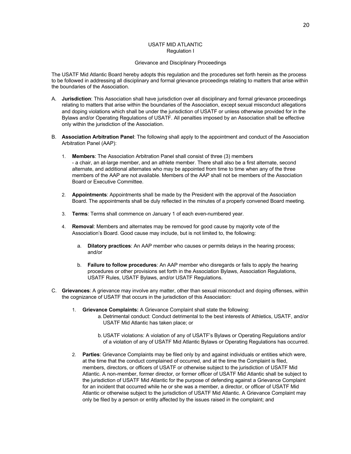## USATF MID ATLANTIC Regulation I

## Grievance and Disciplinary Proceedings

The USATF Mid Atlantic Board hereby adopts this regulation and the procedures set forth herein as the process to be followed in addressing all disciplinary and formal grievance proceedings relating to matters that arise within the boundaries of the Association.

- A. **Jurisdiction**: This Association shall have jurisdiction over all disciplinary and formal grievance proceedings relating to matters that arise within the boundaries of the Association, except sexual misconduct allegations and doping violations which shall be under the jurisdiction of USATF or unless otherwise provided for in the Bylaws and/or Operating Regulations of USATF. All penalties imposed by an Association shall be effective only within the jurisdiction of the Association.
- B. **Association Arbitration Panel**: The following shall apply to the appointment and conduct of the Association Arbitration Panel (AAP):
	- 1. **Members**: The Association Arbitration Panel shall consist of three (3) members - a chair, an at-large member, and an athlete member. There shall also be a first alternate, second alternate, and additional alternates who may be appointed from time to time when any of the three members of the AAP are not available. Members of the AAP shall not be members of the Association Board or Executive Committee.
	- 2. **Appointments**: Appointments shall be made by the President with the approval of the Association Board. The appointments shall be duly reflected in the minutes of a properly convened Board meeting.
	- 3. **Terms**: Terms shall commence on January 1 of each even-numbered year.
	- 4. **Removal**: Members and alternates may be removed for good cause by majority vote of the Association's Board. Good cause may include, but is not limited to, the following:
		- a. **Dilatory practices**: An AAP member who causes or permits delays in the hearing process; and/or
		- b. **Failure to follow procedures**: An AAP member who disregards or fails to apply the hearing procedures or other provisions set forth in the Association Bylaws, Association Regulations, USATF Rules, USATF Bylaws, and/or USATF Regulations.
- C. **Grievances**: A grievance may involve any matter, other than sexual misconduct and doping offenses, within the cognizance of USATF that occurs in the jurisdiction of this Association:
	- 1. **Grievance Complaints:** A Grievance Complaint shall state the following:
		- a. Detrimental conduct: Conduct detrimental to the best interests of Athletics, USATF, and/or USATF Mid Atlantic has taken place; or
		- b. USATF violations: A violation of any of USATF's Bylaws or Operating Regulations and/or of a violation of any of USATF Mid Atlantic Bylaws or Operating Regulations has occurred.
	- 2. **Parties**: Grievance Complaints may be filed only by and against individuals or entities which were, at the time that the conduct complained of occurred, and at the time the Complaint is filed, members, directors, or officers of USATF or otherwise subject to the jurisdiction of USATF Mid Atlantic. A non-member, former director, or former officer of USATF Mid Atlantic shall be subject to the jurisdiction of USATF Mid Atlantic for the purpose of defending against a Grievance Complaint for an incident that occurred while he or she was a member, a director, or officer of USATF Mid Atlantic or otherwise subject to the jurisdiction of USATF Mid Atlantic. A Grievance Complaint may only be filed by a person or entity affected by the issues raised in the complaint; and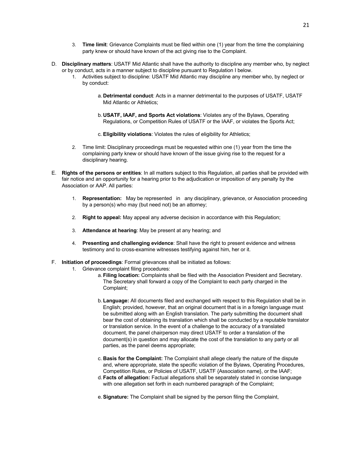- 3. **Time limit**: Grievance Complaints must be filed within one (1) year from the time the complaining party knew or should have known of the act giving rise to the Complaint.
- D. **Disciplinary matters**: USATF Mid Atlantic shall have the authority to discipline any member who, by neglect or by conduct, acts in a manner subject to discipline pursuant to Regulation I below.
	- 1. Activities subject to discipline: USATF Mid Atlantic may discipline any member who, by neglect or by conduct:
		- a. **Detrimental conduct**: Acts in a manner detrimental to the purposes of USATF, USATF Mid Atlantic or Athletics;
		- b. **USATF, IAAF, and Sports Act violations**: Violates any of the Bylaws, Operating Regulations, or Competition Rules of USATF or the IAAF, or violates the Sports Act;
		- c. **Eligibility violations**: Violates the rules of eligibility for Athletics;
	- 2. Time limit: Disciplinary proceedings must be requested within one (1) year from the time the complaining party knew or should have known of the issue giving rise to the request for a disciplinary hearing.
- E. **Rights of the persons or entities**: In all matters subject to this Regulation, all parties shall be provided with fair notice and an opportunity for a hearing prior to the adjudication or imposition of any penalty by the Association or AAP. All parties:
	- 1. **Representation:** May be represented in any disciplinary, grievance, or Association proceeding by a person(s) who may (but need not) be an attorney;
	- 2. **Right to appeal:** May appeal any adverse decision in accordance with this Regulation;
	- 3. **Attendance at hearing**: May be present at any hearing; and
	- 4. **Presenting and challenging evidence**: Shall have the right to present evidence and witness testimony and to cross-examine witnesses testifying against him, her or it.
- F. **Initiation of proceedings**: Formal grievances shall be initiated as follows:
	- 1. Grievance complaint filing procedures:
		- a. **Filing location:** Complaints shall be filed with the Association President and Secretary. The Secretary shall forward a copy of the Complaint to each party charged in the Complaint;
		- b. **Language:** All documents filed and exchanged with respect to this Regulation shall be in English; provided, however, that an original document that is in a foreign language must be submitted along with an English translation. The party submitting the document shall bear the cost of obtaining its translation which shall be conducted by a reputable translator or translation service. In the event of a challenge to the accuracy of a translated document, the panel chairperson may direct USATF to order a translation of the document(s) in question and may allocate the cost of the translation to any party or all parties, as the panel deems appropriate;
		- c. **Basis for the Complaint:** The Complaint shall allege clearly the nature of the dispute and, where appropriate, state the specific violation of the Bylaws, Operating Procedures, Competition Rules, or Policies of USATF, USATF {Association name}, or the IAAF;
		- d. **Facts of allegation:** Factual allegations shall be separately stated in concise language with one allegation set forth in each numbered paragraph of the Complaint;
		- e.**Signature:** The Complaint shall be signed by the person filing the Complaint,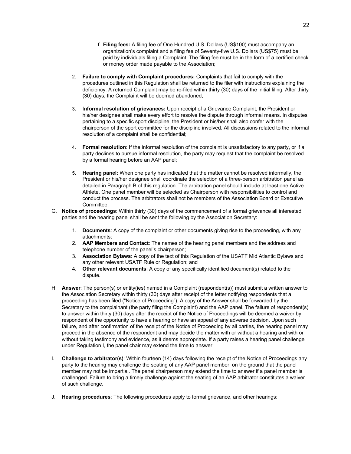- f. **Filing fees:** A filing fee of One Hundred U.S. Dollars (US\$100) must accompany an organization's complaint and a filing fee of Seventy-five U.S. Dollars (US\$75) must be paid by individuals filing a Complaint. The filing fee must be in the form of a certified check or money order made payable to the Association;
- 2. **Failure to comply with Complaint procedures:** Complaints that fail to comply with the procedures outlined in this Regulation shall be returned to the filer with instructions explaining the deficiency. A returned Complaint may be re-filed within thirty (30) days of the initial filing. After thirty (30) days, the Complaint will be deemed abandoned;
- 3. I**nformal resolution of grievances:** Upon receipt of a Grievance Complaint, the President or his/her designee shall make every effort to resolve the dispute through informal means. In disputes pertaining to a specific sport discipline, the President or his/her shall also confer with the chairperson of the sport committee for the discipline involved. All discussions related to the informal resolution of a complaint shall be confidential;
- 4. **Formal resolution**: If the informal resolution of the complaint is unsatisfactory to any party, or if a party declines to pursue informal resolution, the party may request that the complaint be resolved by a formal hearing before an AAP panel;
- 5. **Hearing panel:** When one party has indicated that the matter cannot be resolved informally, the President or his/her designee shall coordinate the selection of a three-person arbitration panel as detailed in Paragraph B of this regulation. The arbitration panel should include at least one Active Athlete. One panel member will be selected as Chairperson with responsibilities to control and conduct the process. The arbitrators shall not be members of the Association Board or Executive Committee.
- G. **Notice of proceedings**: Within thirty (30) days of the commencement of a formal grievance all interested parties and the hearing panel shall be sent the following by the Association Secretary:
	- 1. **Documents**: A copy of the complaint or other documents giving rise to the proceeding, with any attachments;
	- 2. **AAP Members and Contact**: The names of the hearing panel members and the address and telephone number of the panel's chairperson;
	- 3. **Association Bylaws**: A copy of the text of this Regulation of the USATF Mid Atlantic Bylaws and any other relevant USATF Rule or Regulation; and
	- 4. **Other relevant documents**: A copy of any specifically identified document(s) related to the dispute.
- H. **Answer**: The person(s) or entity(ies) named in a Complaint (respondent(s)) must submit a written answer to the Association Secretary within thirty (30) days after receipt of the letter notifying respondents that a proceeding has been filed ("Notice of Proceeding"). A copy of the Answer shall be forwarded by the Secretary to the complainant (the party filing the Complaint) and the AAP panel. The failure of respondent(s) to answer within thirty (30) days after the receipt of the Notice of Proceedings will be deemed a waiver by respondent of the opportunity to have a hearing or have an appeal of any adverse decision. Upon such failure, and after confirmation of the receipt of the Notice of Proceeding by all parties, the hearing panel may proceed in the absence of the respondent and may decide the matter with or without a hearing and with or without taking testimony and evidence, as it deems appropriate. If a party raises a hearing panel challenge under Regulation I, the panel chair may extend the time to answer.
- I. **Challenge to arbitrator(s)**: Within fourteen (14) days following the receipt of the Notice of Proceedings any party to the hearing may challenge the seating of any AAP panel member, on the ground that the panel member may not be impartial. The panel chairperson may extend the time to answer if a panel member is challenged. Failure to bring a timely challenge against the seating of an AAP arbitrator constitutes a waiver of such challenge.
- J. **Hearing procedures**: The following procedures apply to formal grievance, and other hearings: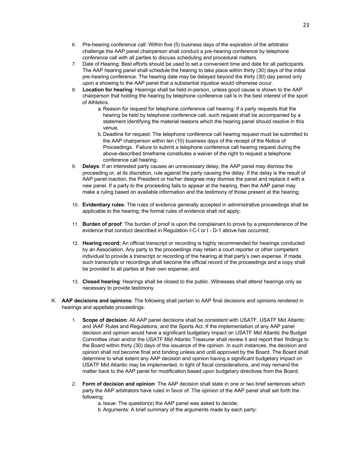- 6. Pre-hearing conference call: Within five (5) business days of the expiration of the arbitrator challenge the AAP panel chairperson shall conduct a pre-hearing conference by telephone conference call with all parties to discuss scheduling and procedural matters.
- 7. Date of Hearing: Best efforts should be used to set a convenient time and date for all participants. The AAP hearing panel shall schedule the hearing to take place within thirty (30) days of the initial pre-hearing conference. The hearing date may be delayed beyond the thirty (30) day period only upon a showing to the AAP panel that a substantial injustice would otherwise occur.
- 8. **Location for hearing**: Hearings shall be held in-person, unless good cause is shown to the AAP chairperson that holding the hearing by telephone conference call is in the best interest of the sport of Athletics.
	- a. Reason for request for telephone conference call hearing: If a party requests that the hearing be held by telephone conference call, such request shall be accompanied by a statement identifying the material reasons which the hearing panel should resolve in this venue.
	- b. Deadline for request: The telephone conference call hearing request must be submitted to the AAP chairperson within ten (10) business days of the receipt of the Notice of Proceedings. Failure to submit a telephone conference call hearing request during the above-described timeframe constitutes a waiver of the right to request a telephone conference call hearing.
- 9. **Delays**: If an interested party causes an unnecessary delay, the AAP panel may dismiss the proceeding or, at its discretion, rule against the party causing the delay. If the delay is the result of AAP panel inaction, the President or his/her designee may dismiss the panel and replace it with a new panel. If a party to the proceeding fails to appear at the hearing, then the AAP panel may make a ruling based on available information and the testimony of those present at the hearing;
- 10. **Evidentiary rules**: The rules of evidence generally accepted in administrative proceedings shall be applicable to the hearing; the formal rules of evidence shall not apply;
- 11. **Burden of proof**: The burden of proof is upon the complainant to prove by a preponderance of the evidence that conduct described in Regulation I-C-I or I - D-1 above has occurred;
- 12. **Hearing record:** An official transcript or recording is highly recommended for hearings conducted by an Association. Any party to the proceedings may retain a court reporter or other competent individual to provide a transcript or recording of the hearing at that party's own expense. If made, such transcripts or recordings shall become the official record of the proceedings and a copy shall be provided to all parties at their own expense; and
- 13. **Closed hearing**: Hearings shall be closed to the public. Witnesses shall attend hearings only as necessary to provide testimony.
- K. **AAP decisions and opinions**: The following shall pertain to AAP final decisions and opinions rendered in hearings and appellate proceedings:
	- 1. **Scope of decision**: All AAP panel decisions shall be consistent with USATF, USATF Mid Atlantic and IAAF Rules and Regulations, and the Sports Act. If the implementation of any AAP panel decision and opinion would have a significant budgetary impact on USATF Mid Atlantic the Budget Committee chair and/or the USATF Mid Atlantic Treasurer shall review it and report their findings to the Board within thirty (30) days of the issuance of the opinion. In such instances, the decision and opinion shall not become final and binding unless and until approved by the Board. The Board shall determine to what extent any AAP decision and opinion having a significant budgetary impact on USATF Mid Atlantic may be implemented, in light of fiscal considerations, and may remand the matter back to the AAP panel for modification based upon budgetary directives from the Board;
	- 2. **Form of decision and opinion**: The AAP decision shall state in one or two brief sentences which party the AAP arbitrators have ruled in favor of. The opinion of the AAP panel shall set forth the following:

a. Issue: The question(s) the AAP panel was asked to decide;

b.Arguments: A brief summary of the arguments made by each party;